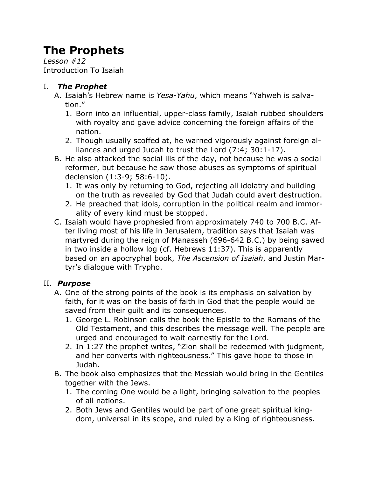# **The Prophets**

*Lesson #12* Introduction To Isaiah

### I. *The Prophet*

- A. Isaiah's Hebrew name is *Yesa-Yahu*, which means "Yahweh is salvation."
	- 1. Born into an influential, upper-class family, Isaiah rubbed shoulders with royalty and gave advice concerning the foreign affairs of the nation.
	- 2. Though usually scoffed at, he warned vigorously against foreign alliances and urged Judah to trust the Lord (7:4; 30:1-17).
- B. He also attacked the social ills of the day, not because he was a social reformer, but because he saw those abuses as symptoms of spiritual declension (1:3-9; 58:6-10).
	- 1. It was only by returning to God, rejecting all idolatry and building on the truth as revealed by God that Judah could avert destruction.
	- 2. He preached that idols, corruption in the political realm and immorality of every kind must be stopped.
- C. Isaiah would have prophesied from approximately 740 to 700 B.C. After living most of his life in Jerusalem, tradition says that Isaiah was martyred during the reign of Manasseh (696-642 B.C.) by being sawed in two inside a hollow log (cf. Hebrews 11:37). This is apparently based on an apocryphal book, *The Ascension of Isaiah*, and Justin Martyr's dialogue with Trypho.

# II. *Purpose*

- A. One of the strong points of the book is its emphasis on salvation by faith, for it was on the basis of faith in God that the people would be saved from their guilt and its consequences.
	- 1. George L. Robinson calls the book the Epistle to the Romans of the Old Testament, and this describes the message well. The people are urged and encouraged to wait earnestly for the Lord.
	- 2. In 1:27 the prophet writes, "Zion shall be redeemed with judgment, and her converts with righteousness." This gave hope to those in Judah.
- B. The book also emphasizes that the Messiah would bring in the Gentiles together with the Jews.
	- 1. The coming One would be a light, bringing salvation to the peoples of all nations.
	- 2. Both Jews and Gentiles would be part of one great spiritual kingdom, universal in its scope, and ruled by a King of righteousness.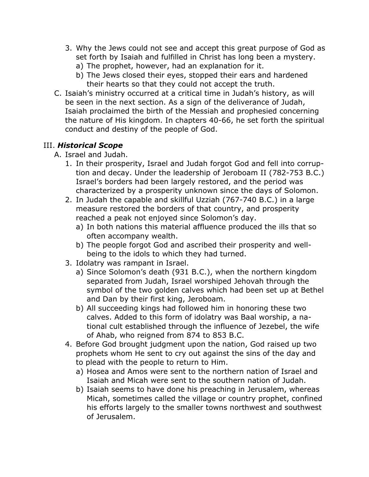- 3. Why the Jews could not see and accept this great purpose of God as set forth by Isaiah and fulfilled in Christ has long been a mystery.
	- a) The prophet, however, had an explanation for it.
	- b) The Jews closed their eyes, stopped their ears and hardened their hearts so that they could not accept the truth.
- C. Isaiah's ministry occurred at a critical time in Judah's history, as will be seen in the next section. As a sign of the deliverance of Judah, Isaiah proclaimed the birth of the Messiah and prophesied concerning the nature of His kingdom. In chapters 40-66, he set forth the spiritual conduct and destiny of the people of God.

#### III. *Historical Scope*

- A. Israel and Judah.
	- 1. In their prosperity, Israel and Judah forgot God and fell into corruption and decay. Under the leadership of Jeroboam II (782-753 B.C.) Israel's borders had been largely restored, and the period was characterized by a prosperity unknown since the days of Solomon.
	- 2. In Judah the capable and skillful Uzziah (767-740 B.C.) in a large measure restored the borders of that country, and prosperity reached a peak not enjoyed since Solomon's day.
		- a) In both nations this material affluence produced the ills that so often accompany wealth.
		- b) The people forgot God and ascribed their prosperity and wellbeing to the idols to which they had turned.
	- 3. Idolatry was rampant in Israel.
		- a) Since Solomon's death (931 B.C.), when the northern kingdom separated from Judah, Israel worshiped Jehovah through the symbol of the two golden calves which had been set up at Bethel and Dan by their first king, Jeroboam.
		- b) All succeeding kings had followed him in honoring these two calves. Added to this form of idolatry was Baal worship, a national cult established through the influence of Jezebel, the wife of Ahab, who reigned from 874 to 853 B.C.
	- 4. Before God brought judgment upon the nation, God raised up two prophets whom He sent to cry out against the sins of the day and to plead with the people to return to Him.
		- a) Hosea and Amos were sent to the northern nation of Israel and Isaiah and Micah were sent to the southern nation of Judah.
		- b) Isaiah seems to have done his preaching in Jerusalem, whereas Micah, sometimes called the village or country prophet, confined his efforts largely to the smaller towns northwest and southwest of Jerusalem.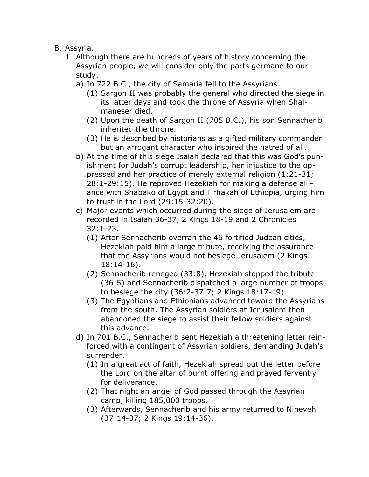- B. Assyria.
	- 1. Although there are hundreds of years of history concerning the Assyrian people, we will consider only the parts germane to our study.
		- a) In 722 B.C., the city of Samaria fell to the Assyrians.
			- (1) Sargon II was probably the general who directed the siege in its latter days and took the throne of Assyria when Shalmaneser died.
			- (2) Upon the death of Sargon II (705 B.C.), his son Sennacherib inherited the throne.
			- (3) He is described by historians as a gifted military commander but an arrogant character who inspired the hatred of all.
		- b) At the time of this siege Isaiah declared that this was God's punishment for Judah's corrupt leadership, her injustice to the oppressed and her practice of merely external religion (1:21-31; 28:1-29:15). He reproved Hezekiah for making a defense alliance with Shabako of Egypt and Tirhakah of Ethiopia, urging him to trust in the Lord (29:15-32:20).
		- c) Major events which occurred during the siege of Jerusalem are recorded in Isaiah 36-37, 2 Kings 18-19 and 2 Chronicles 32:1-23.
			- (1) After Sennacherib overran the 46 fortified Judean cities, Hezekiah paid him a large tribute, receiving the assurance that the Assyrians would not besiege Jerusalem (2 Kings 18:14-16).
			- (2) Sennacherib reneged (33:8), Hezekiah stopped the tribute (36:5) and Sennacherib dispatched a large number of troops to besiege the city (36:2-37:7; 2 Kings 18:17-19).
			- (3) The Egyptians and Ethiopians advanced toward the Assyrians from the south. The Assyrian soldiers at Jerusalem then abandoned the siege to assist their fellow soldiers against this advance.
		- d) In 701 B.C., Sennacherib sent Hezekiah a threatening letter reinforced with a contingent of Assyrian soldiers, demanding Judah's surrender.
			- (1) In a great act of faith, Hezekiah spread out the letter before the Lord on the altar of burnt offering and prayed fervently for deliverance.
			- (2) That night an angel of God passed through the Assyrian camp, killing 185,000 troops.
			- (3) Afterwards, Sennacherib and his army returned to Nineveh (37:14-37; 2 Kings 19:14-36).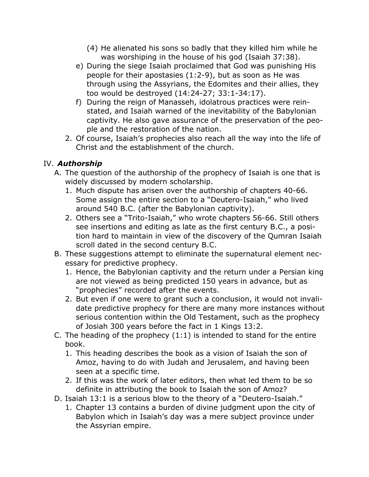- (4) He alienated his sons so badly that they killed him while he was worshiping in the house of his god (Isaiah 37:38).
- e) During the siege Isaiah proclaimed that God was punishing His people for their apostasies (1:2-9), but as soon as He was through using the Assyrians, the Edomites and their allies, they too would be destroyed (14:24-27; 33:1-34:17).
- f) During the reign of Manasseh, idolatrous practices were reinstated, and Isaiah warned of the inevitability of the Babylonian captivity. He also gave assurance of the preservation of the people and the restoration of the nation.
- 2. Of course, Isaiah's prophecies also reach all the way into the life of Christ and the establishment of the church.

## IV. *Authorship*

- A. The question of the authorship of the prophecy of Isaiah is one that is widely discussed by modern scholarship.
	- 1. Much dispute has arisen over the authorship of chapters 40-66. Some assign the entire section to a "Deutero-Isaiah," who lived around 540 B.C. (after the Babylonian captivity).
	- 2. Others see a "Trito-Isaiah," who wrote chapters 56-66. Still others see insertions and editing as late as the first century B.C., a position hard to maintain in view of the discovery of the Qumran Isaiah scroll dated in the second century B.C.
- B. These suggestions attempt to eliminate the supernatural element necessary for predictive prophecy.
	- 1. Hence, the Babylonian captivity and the return under a Persian king are not viewed as being predicted 150 years in advance, but as "prophecies" recorded after the events.
	- 2. But even if one were to grant such a conclusion, it would not invalidate predictive prophecy for there are many more instances without serious contention within the Old Testament, such as the prophecy of Josiah 300 years before the fact in 1 Kings 13:2.
- C. The heading of the prophecy  $(1:1)$  is intended to stand for the entire book.
	- 1. This heading describes the book as a vision of Isaiah the son of Amoz, having to do with Judah and Jerusalem, and having been seen at a specific time.
	- 2. If this was the work of later editors, then what led them to be so definite in attributing the book to Isaiah the son of Amoz?
- D. Isaiah 13:1 is a serious blow to the theory of a "Deutero-Isaiah."
	- 1. Chapter 13 contains a burden of divine judgment upon the city of Babylon which in Isaiah's day was a mere subject province under the Assyrian empire.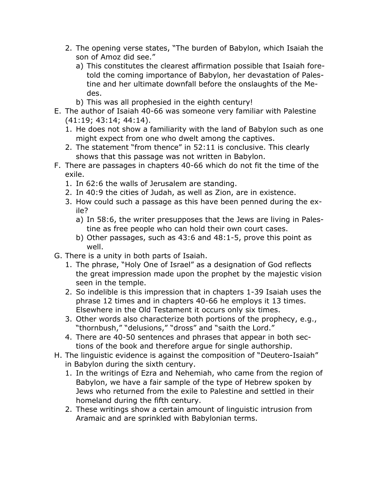- 2. The opening verse states, "The burden of Babylon, which Isaiah the son of Amoz did see."
	- a) This constitutes the clearest affirmation possible that Isaiah foretold the coming importance of Babylon, her devastation of Palestine and her ultimate downfall before the onslaughts of the Medes.
	- b) This was all prophesied in the eighth century!
- E. The author of Isaiah 40-66 was someone very familiar with Palestine (41:19; 43:14; 44:14).
	- 1. He does not show a familiarity with the land of Babylon such as one might expect from one who dwelt among the captives.
	- 2. The statement "from thence" in 52:11 is conclusive. This clearly shows that this passage was not written in Babylon.
- F. There are passages in chapters 40-66 which do not fit the time of the exile.
	- 1. In 62:6 the walls of Jerusalem are standing.
	- 2. In 40:9 the cities of Judah, as well as Zion, are in existence.
	- 3. How could such a passage as this have been penned during the exile?
		- a) In 58:6, the writer presupposes that the Jews are living in Palestine as free people who can hold their own court cases.
		- b) Other passages, such as 43:6 and 48:1-5, prove this point as well.
- G. There is a unity in both parts of Isaiah.
	- 1. The phrase, "Holy One of Israel" as a designation of God reflects the great impression made upon the prophet by the majestic vision seen in the temple.
	- 2. So indelible is this impression that in chapters 1-39 Isaiah uses the phrase 12 times and in chapters 40-66 he employs it 13 times. Elsewhere in the Old Testament it occurs only six times.
	- 3. Other words also characterize both portions of the prophecy, e.g., "thornbush," "delusions," "dross" and "saith the Lord."
	- 4. There are 40-50 sentences and phrases that appear in both sections of the book and therefore argue for single authorship.
- H. The linguistic evidence is against the composition of "Deutero-Isaiah" in Babylon during the sixth century.
	- 1. In the writings of Ezra and Nehemiah, who came from the region of Babylon, we have a fair sample of the type of Hebrew spoken by Jews who returned from the exile to Palestine and settled in their homeland during the fifth century.
	- 2. These writings show a certain amount of linguistic intrusion from Aramaic and are sprinkled with Babylonian terms.